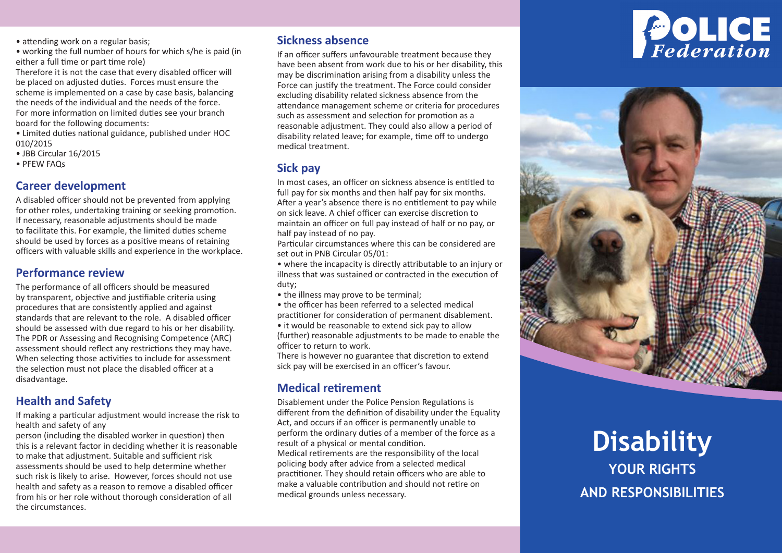• attending work on a regular basis:

• working the full number of hours for which s/he is paid (in either a full time or part time role)

Therefore it is not the case that every disabled officer will be placed on adjusted duties. Forces must ensure the scheme is implemented on a case by case basis, balancing the needs of the individual and the needs of the force. For more information on limited duties see your branch board for the following documents:

• Limited duties national guidance, published under HOC 010/2015

- JBB Circular 16/2015
- PFEW FAQs

### **Career development**

A disabled officer should not be prevented from applying for other roles, undertaking training or seeking promotion. If necessary, reasonable adjustments should be made to facilitate this. For example, the limited duties scheme should be used by forces as a positive means of retaining officers with valuable skills and experience in the workplace.

### **Performance review**

The performance of all officers should be measured by transparent, objective and justifiable criteria using procedures that are consistently applied and against standards that are relevant to the role. A disabled officer should be assessed with due regard to his or her disability. The PDR or Assessing and Recognising Competence (ARC) assessment should reflect any restrictions they may have. When selecting those activities to include for assessment the selection must not place the disabled officer at a disadvantage.

### **Health and Safety**

If making a particular adjustment would increase the risk to health and safety of any

person (including the disabled worker in question) then this is a relevant factor in deciding whether it is reasonable to make that adjustment. Suitable and sufficient risk assessments should be used to help determine whether such risk is likely to arise. However, forces should not use health and safety as a reason to remove a disabled officer from his or her role without thorough consideration of all the circumstances.

### **Sickness absence**

If an officer suffers unfavourable treatment because they have been absent from work due to his or her disability, this may be discrimination arising from a disability unless the Force can justify the treatment. The Force could consider excluding disability related sickness absence from the attendance management scheme or criteria for procedures such as assessment and selection for promotion as a reasonable adjustment. They could also allow a period of disability related leave; for example, time off to undergo medical treatment.

### **Sick pay**

In most cases, an officer on sickness absence is entitled to full pay for six months and then half pay for six months. After a year's absence there is no entitlement to pay while on sick leave. A chief officer can exercise discretion to maintain an officer on full pay instead of half or no pay, or half pay instead of no pay.

Particular circumstances where this can be considered are set out in PNB Circular 05/01:

• where the incapacity is directly attributable to an injury or illness that was sustained or contracted in the execution of duty;

• the illness may prove to be terminal;

• the officer has been referred to a selected medical practitioner for consideration of permanent disablement.

• it would be reasonable to extend sick pay to allow (further) reasonable adjustments to be made to enable the officer to return to work.

There is however no guarantee that discretion to extend sick pay will be exercised in an officer's favour.

## **Medical retirement**

Disablement under the Police Pension Regulations is different from the definition of disability under the Equality Act, and occurs if an officer is permanently unable to perform the ordinary duties of a member of the force as a result of a physical or mental condition. Medical retirements are the responsibility of the local policing body after advice from a selected medical

practitioner. They should retain officers who are able to make a valuable contribution and should not retire on medical grounds unless necessary.





# **Disability YOUR RIGHTS AND RESPONSIBILITIES**